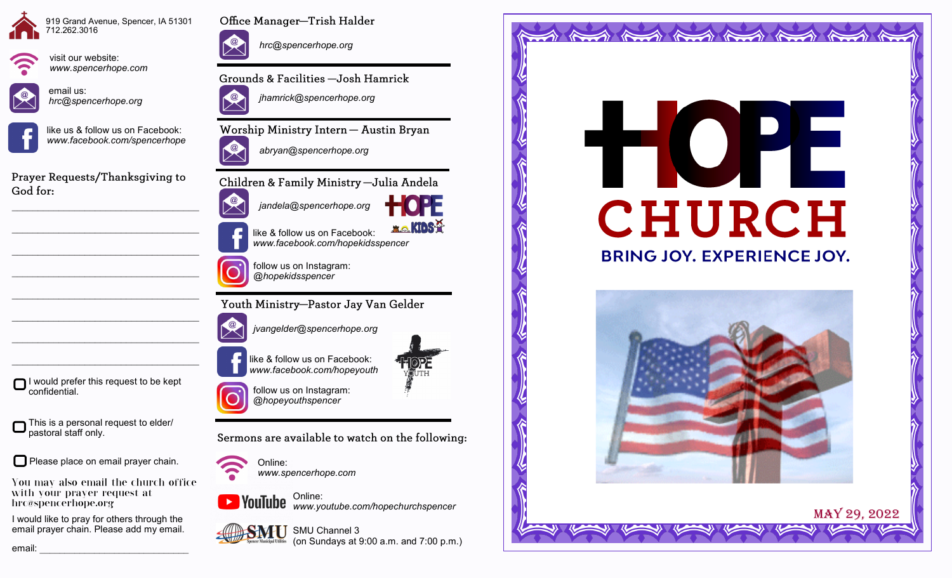





visit our website: *www.spencerhope.com*

email us: *hrc@spencerhope.org*





Prayer Requests/Thanksgiving to God for:

 $\mathcal{L}_\text{max}$  , and the set of the set of the set of the set of the set of the set of the set of the set of the set of the set of the set of the set of the set of the set of the set of the set of the set of the set of the

 $\mathcal{L}_\text{max}$  , and the set of the set of the set of the set of the set of the set of the set of the set of the set of the set of the set of the set of the set of the set of the set of the set of the set of the set of the

 $\mathcal{L}_\text{max}$  , and the set of the set of the set of the set of the set of the set of the set of the set of the set of the set of the set of the set of the set of the set of the set of the set of the set of the set of the

 $\mathcal{L}_\text{max}$ 

 $\mathcal{L}_\text{max}$ 

 $\mathcal{L}_\text{max}$ 

I would prefer this request to be kept confidential.

This is a personal request to elder/ pastoral staff only.

Please place on email prayer chain.

You may also email the church office with your prayer request at hrc@spencerhope.org

I would like to pray for others through the email prayer chain. Please add my email.



*hrc@spencerhope.org*

Grounds & Facilities -Josh Hamrick



Worship Ministry Intern - Austin Bryan



Children & Family Ministry - Julia Andela



like & follow us on Facebook: *www.facebook.com/hopekidsspencer*

follow us on Instagram: *@hopekidsspencer*

Youth Ministry-Pastor Jay Van Gelder

*jvangelder@spencerhope.org*

like & follow us on Facebook: *www.facebook.com/hopeyouth*



*@hopeyouthspencer*

Sermons are available to watch on the following:



Online: *www.spencerhope.com*

Online: *www.youtube.com/hopechurchspencer*







**ELO KIDS-P** 



and the thing the thing